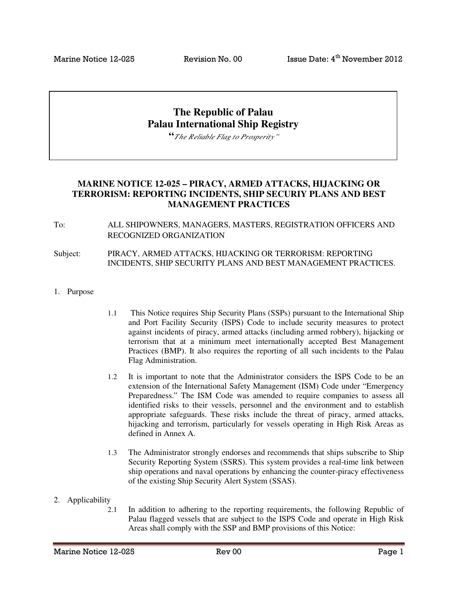# **The Republic of Palau Palau International Ship Registry**

**"***The Reliable Flag to Prosperity"*

## **MARINE NOTICE 12-025 – PIRACY, ARMED ATTACKS, HIJACKING OR TERRORISM: REPORTING INCIDENTS, SHIP SECURIY PLANS AND BEST MANAGEMENT PRACTICES**

To: ALL SHIPOWNERS, MANAGERS, MASTERS, REGISTRATION OFFICERS AND RECOGNIZED ORGANIZATION

#### Subject: PIRACY, ARMED ATTACKS, HIJACKING OR TERRORISM: REPORTING INCIDENTS, SHIP SECURITY PLANS AND BEST MANAGEMENT PRACTICES.

- 1. Purpose
- 1.1 This Notice requires Ship Security Plans (SSPs) pursuant to the International Ship and Port Facility Security (ISPS) Code to include security measures to protect against incidents of piracy, armed attacks (including armed robbery), hijacking or terrorism that at a minimum meet internationally accepted Best Management Practices (BMP). It also requires the reporting of all such incidents to the Palau Flag Administration.
- 1.2 It is important to note that the Administrator considers the ISPS Code to be an extension of the International Safety Management (ISM) Code under "Emergency Preparedness." The ISM Code was amended to require companies to assess all identified risks to their vessels, personnel and the environment and to establish appropriate safeguards. These risks include the threat of piracy, armed attacks, hijacking and terrorism, particularly for vessels operating in High Risk Areas as defined in Annex A.
- 1.3 The Administrator strongly endorses and recommends that ships subscribe to Ship Security Reporting System (SSRS). This system provides a real-time link between ship operations and naval operations by enhancing the counter-piracy effectiveness of the existing Ship Security Alert System (SSAS).
- 2. Applicability
	- 2.1 In addition to adhering to the reporting requirements, the following Republic of Palau flagged vessels that are subject to the ISPS Code and operate in High Risk Areas shall comply with the SSP and BMP provisions of this Notice: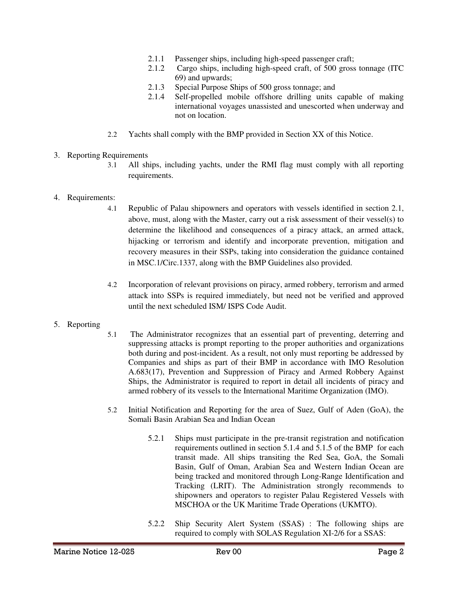- 2.1.1 Passenger ships, including high-speed passenger craft;
- 2.1.2 Cargo ships, including high-speed craft, of 500 gross tonnage (ITC 69) and upwards;
- 2.1.3 Special Purpose Ships of 500 gross tonnage; and
- 2.1.4 Self-propelled mobile offshore drilling units capable of making international voyages unassisted and unescorted when underway and not on location.
- 2.2 Yachts shall comply with the BMP provided in Section XX of this Notice.

### 3. Reporting Requirements

3.1 All ships, including yachts, under the RMI flag must comply with all reporting requirements.

#### 4. Requirements:

- 4.1 Republic of Palau shipowners and operators with vessels identified in section 2.1, above, must, along with the Master, carry out a risk assessment of their vessel(s) to determine the likelihood and consequences of a piracy attack, an armed attack, hijacking or terrorism and identify and incorporate prevention, mitigation and recovery measures in their SSPs, taking into consideration the guidance contained in MSC.1/Circ.1337, along with the BMP Guidelines also provided.
- 4.2 Incorporation of relevant provisions on piracy, armed robbery, terrorism and armed attack into SSPs is required immediately, but need not be verified and approved until the next scheduled ISM/ ISPS Code Audit.

### 5. Reporting

- 5.1 The Administrator recognizes that an essential part of preventing, deterring and suppressing attacks is prompt reporting to the proper authorities and organizations both during and post-incident. As a result, not only must reporting be addressed by Companies and ships as part of their BMP in accordance with IMO Resolution A.683(17), Prevention and Suppression of Piracy and Armed Robbery Against Ships, the Administrator is required to report in detail all incidents of piracy and armed robbery of its vessels to the International Maritime Organization (IMO).
- 5.2 Initial Notification and Reporting for the area of Suez, Gulf of Aden (GoA), the Somali Basin Arabian Sea and Indian Ocean
	- 5.2.1 Ships must participate in the pre-transit registration and notification requirements outlined in section 5.1.4 and 5.1.5 of the BMP for each transit made. All ships transiting the Red Sea, GoA, the Somali Basin, Gulf of Oman, Arabian Sea and Western Indian Ocean are being tracked and monitored through Long-Range Identification and Tracking (LRIT). The Administration strongly recommends to shipowners and operators to register Palau Registered Vessels with MSCHOA or the UK Maritime Trade Operations (UKMTO).
	- 5.2.2 Ship Security Alert System (SSAS) : The following ships are required to comply with SOLAS Regulation XI-2/6 for a SSAS: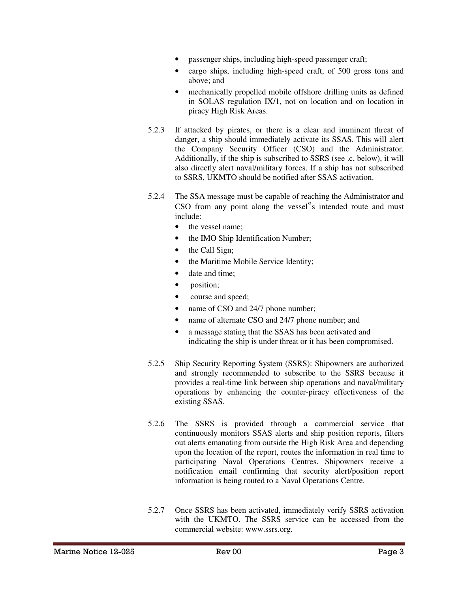- passenger ships, including high-speed passenger craft;
- cargo ships, including high-speed craft, of 500 gross tons and above; and
- mechanically propelled mobile offshore drilling units as defined in SOLAS regulation IX/1, not on location and on location in piracy High Risk Areas.
- 5.2.3 If attacked by pirates, or there is a clear and imminent threat of danger, a ship should immediately activate its SSAS. This will alert the Company Security Officer (CSO) and the Administrator. Additionally, if the ship is subscribed to SSRS (see .c, below), it will also directly alert naval/military forces. If a ship has not subscribed to SSRS, UKMTO should be notified after SSAS activation.
- 5.2.4 The SSA message must be capable of reaching the Administrator and CSO from any point along the vessel"s intended route and must include:
	- the vessel name;
	- the IMO Ship Identification Number;
	- the Call Sign;
	- the Maritime Mobile Service Identity;
	- date and time;
	- position;
	- course and speed;
	- name of CSO and 24/7 phone number;
	- name of alternate CSO and 24/7 phone number; and
	- a message stating that the SSAS has been activated and indicating the ship is under threat or it has been compromised.
- 5.2.5 Ship Security Reporting System (SSRS): Shipowners are authorized and strongly recommended to subscribe to the SSRS because it provides a real-time link between ship operations and naval/military operations by enhancing the counter-piracy effectiveness of the existing SSAS.
- 5.2.6 The SSRS is provided through a commercial service that continuously monitors SSAS alerts and ship position reports, filters out alerts emanating from outside the High Risk Area and depending upon the location of the report, routes the information in real time to participating Naval Operations Centres. Shipowners receive a notification email confirming that security alert/position report information is being routed to a Naval Operations Centre.
- 5.2.7 Once SSRS has been activated, immediately verify SSRS activation with the UKMTO. The SSRS service can be accessed from the commercial website: www.ssrs.org.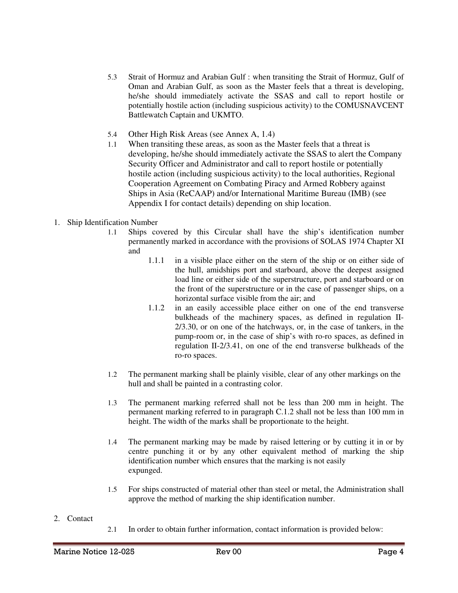- 5.3 Strait of Hormuz and Arabian Gulf : when transiting the Strait of Hormuz, Gulf of Oman and Arabian Gulf, as soon as the Master feels that a threat is developing, he/she should immediately activate the SSAS and call to report hostile or potentially hostile action (including suspicious activity) to the COMUSNAVCENT Battlewatch Captain and UKMTO.
- 5.4 Other High Risk Areas (see Annex A, 1.4)
- 1.1 When transiting these areas, as soon as the Master feels that a threat is developing, he/she should immediately activate the SSAS to alert the Company Security Officer and Administrator and call to report hostile or potentially hostile action (including suspicious activity) to the local authorities, Regional Cooperation Agreement on Combating Piracy and Armed Robbery against Ships in Asia (ReCAAP) and/or International Maritime Bureau (IMB) (see Appendix I for contact details) depending on ship location.
- 1. Ship Identification Number
	- 1.1 Ships covered by this Circular shall have the ship's identification number permanently marked in accordance with the provisions of SOLAS 1974 Chapter XI and
		- 1.1.1 in a visible place either on the stern of the ship or on either side of the hull, amidships port and starboard, above the deepest assigned load line or either side of the superstructure, port and starboard or on the front of the superstructure or in the case of passenger ships, on a horizontal surface visible from the air; and
		- 1.1.2 in an easily accessible place either on one of the end transverse bulkheads of the machinery spaces, as defined in regulation II-2/3.30, or on one of the hatchways, or, in the case of tankers, in the pump-room or, in the case of ship's with ro-ro spaces, as defined in regulation II-2/3.41, on one of the end transverse bulkheads of the ro-ro spaces.
	- 1.2 The permanent marking shall be plainly visible, clear of any other markings on the hull and shall be painted in a contrasting color.
	- 1.3 The permanent marking referred shall not be less than 200 mm in height. The permanent marking referred to in paragraph C.1.2 shall not be less than 100 mm in height. The width of the marks shall be proportionate to the height.
	- 1.4 The permanent marking may be made by raised lettering or by cutting it in or by centre punching it or by any other equivalent method of marking the ship identification number which ensures that the marking is not easily expunged.
	- 1.5 For ships constructed of material other than steel or metal, the Administration shall approve the method of marking the ship identification number.
- 2. Contact
- 2.1 In order to obtain further information, contact information is provided below: